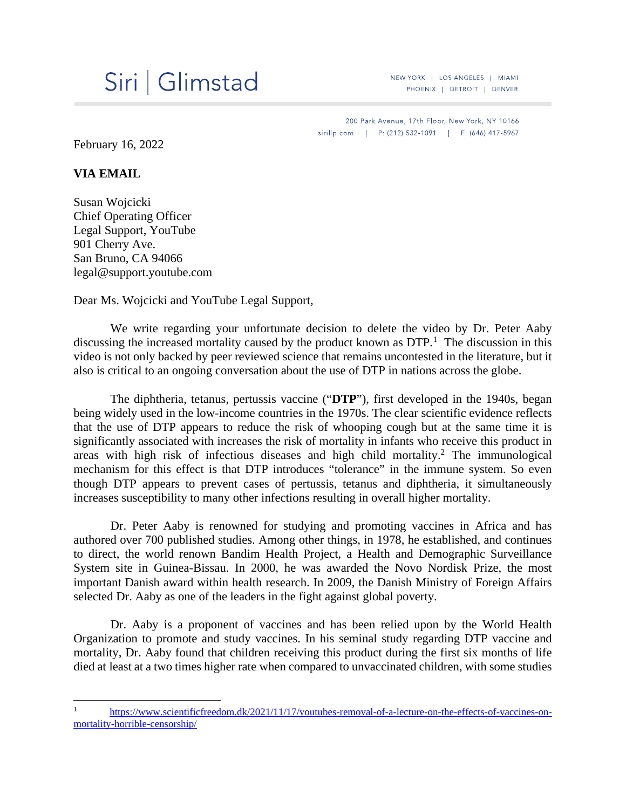## Siri | Glimstad

NEW YORK | LOS ANGELES | MIAMI PHOENIX | DETROIT | DENVER

200 Park Avenue, 17th Floor, New York, NY 10166 sirillp.com | P: (212) 532-1091 | F: (646) 417-5967

February 16, 2022

## **VIA EMAIL**

Susan Wojcicki Chief Operating Officer Legal Support, YouTube 901 Cherry Ave. San Bruno, CA 94066 legal@support.youtube.com

Dear Ms. Wojcicki and YouTube Legal Support,

We write regarding your unfortunate decision to delete the video by Dr. Peter Aaby discussing the increased mortality caused by the product known as  $DTP<sup>1</sup>$  $DTP<sup>1</sup>$  $DTP<sup>1</sup>$ . The discussion in this video is not only backed by peer reviewed science that remains uncontested in the literature, but it also is critical to an ongoing conversation about the use of DTP in nations across the globe.

The diphtheria, tetanus, pertussis vaccine ("**DTP**"), first developed in the 1940s, began being widely used in the low-income countries in the 1970s. The clear scientific evidence reflects that the use of DTP appears to reduce the risk of whooping cough but at the same time it is significantly associated with increases the risk of mortality in infants who receive this product in areas with high risk of infectious diseases and high child mortality. <sup>2</sup> The immunological mechanism for this effect is that DTP introduces "tolerance" in the immune system. So even though DTP appears to prevent cases of pertussis, tetanus and diphtheria, it simultaneously increases susceptibility to many other infections resulting in overall higher mortality.

Dr. Peter Aaby is renowned for studying and promoting vaccines in Africa and has authored over 700 published studies. Among other things, in 1978, he established, and continues to direct, the world renown Bandim Health Project, a Health and Demographic Surveillance System site in Guinea-Bissau. In 2000, he was awarded the Novo Nordisk Prize, the most important Danish award within health research. In 2009, the Danish Ministry of Foreign Affairs selected Dr. Aaby as one of the leaders in the fight against global poverty.

Dr. Aaby is a proponent of vaccines and has been relied upon by the World Health Organization to promote and study vaccines. In his seminal study regarding DTP vaccine and mortality, Dr. Aaby found that children receiving this product during the first six months of life died at least at a two times higher rate when compared to unvaccinated children, with some studies

<span id="page-0-0"></span>[https://www.scientificfreedom.dk/2021/11/17/youtubes-removal-of-a-lecture-on-the-effects-of-vaccines-on](https://www.scientificfreedom.dk/2021/11/17/youtubes-removal-of-a-lecture-on-the-effects-of-vaccines-on-mortality-horrible-censorship/)[mortality-horrible-censorship/](https://www.scientificfreedom.dk/2021/11/17/youtubes-removal-of-a-lecture-on-the-effects-of-vaccines-on-mortality-horrible-censorship/)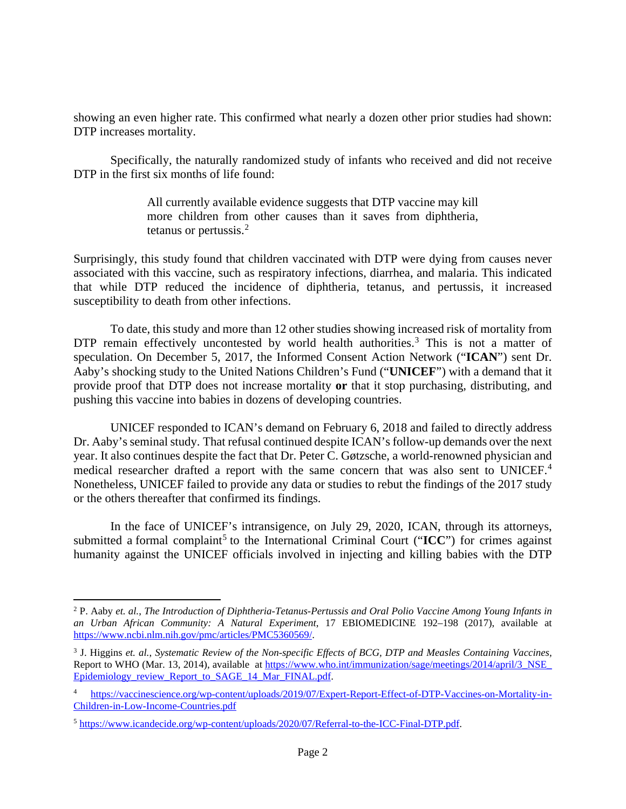showing an even higher rate. This confirmed what nearly a dozen other prior studies had shown: DTP increases mortality.

Specifically, the naturally randomized study of infants who received and did not receive DTP in the first six months of life found:

> All currently available evidence suggests that DTP vaccine may kill more children from other causes than it saves from diphtheria, tetanus or pertussis.[2](#page-1-0)

Surprisingly, this study found that children vaccinated with DTP were dying from causes never associated with this vaccine, such as respiratory infections, diarrhea, and malaria. This indicated that while DTP reduced the incidence of diphtheria, tetanus, and pertussis, it increased susceptibility to death from other infections.

To date, this study and more than 12 other studies showing increased risk of mortality from DTP remain effectively uncontested by world health authorities.<sup>[3](#page-1-1)</sup> This is not a matter of speculation. On December 5, 2017, the Informed Consent Action Network ("**ICAN**") sent Dr. Aaby's shocking study to the United Nations Children's Fund ("**UNICEF**") with a demand that it provide proof that DTP does not increase mortality **or** that it stop purchasing, distributing, and pushing this vaccine into babies in dozens of developing countries.

UNICEF responded to ICAN's demand on February 6, 2018 and failed to directly address Dr. Aaby's seminal study. That refusal continued despite ICAN's follow-up demands over the next year. It also continues despite the fact that Dr. Peter C. Gøtzsche, a world-renowned physician and medical researcher drafted a report with the same concern that was also sent to UNICEF.<sup>[4](#page-1-2)</sup> Nonetheless, UNICEF failed to provide any data or studies to rebut the findings of the 2017 study or the others thereafter that confirmed its findings.

In the face of UNICEF's intransigence, on July 29, 2020, ICAN, through its attorneys, submitted a formal complaint<sup>[5](#page-1-3)</sup> to the International Criminal Court ("ICC") for crimes against humanity against the UNICEF officials involved in injecting and killing babies with the DTP

<span id="page-1-0"></span><sup>2</sup> P. Aaby *et. al.*, *The Introduction of Diphtheria-Tetanus-Pertussis and Oral Polio Vaccine Among Young Infants in an Urban African Community: A Natural Experiment*, 17 EBIOMEDICINE 192–198 (2017), available at [https://www.ncbi.nlm.nih.gov/pmc/articles/PMC5360569/.](https://www.ncbi.nlm.nih.gov/pmc/articles/PMC5360569/)

<span id="page-1-1"></span><sup>3</sup> J. Higgins *et. al.*, *Systematic Review of the Non-specific Effects of BCG, DTP and Measles Containing Vaccines,*  Report to WHO (Mar. 13, 2014), available at [https://www.who.int/immunization/sage/meetings/2014/april/3\\_NSE\\_](https://%E2%80%8C/www.who.int/immunization/%E2%80%8Csage/meetings/%E2%80%8C2014/%E2%80%8Capril/3_%E2%80%8CNSE_%E2%80%8CEpidemiology%E2%80%8C_review_Report_to_SAGE_14_Mar_FINAL.pdf) [Epidemiology\\_review\\_Report\\_to\\_SAGE\\_14\\_Mar\\_FINAL.pdf.](https://%E2%80%8C/www.who.int/immunization/%E2%80%8Csage/meetings/%E2%80%8C2014/%E2%80%8Capril/3_%E2%80%8CNSE_%E2%80%8CEpidemiology%E2%80%8C_review_Report_to_SAGE_14_Mar_FINAL.pdf)

<span id="page-1-2"></span>[https://vaccinescience.org/wp-content/uploads/2019/07/Expert-Report-Effect-of-DTP-Vaccines-on-Mortality-in-](https://vaccinescience.org/wp-content/uploads/2019/07/Expert-Report-Effect-of-DTP-Vaccines-on-Mortality-in-Children-in-Low-Income-Countries.pdf)[Children-in-Low-Income-Countries.pdf](https://vaccinescience.org/wp-content/uploads/2019/07/Expert-Report-Effect-of-DTP-Vaccines-on-Mortality-in-Children-in-Low-Income-Countries.pdf)

<span id="page-1-3"></span><sup>5</sup> [https://www.icandecide.org/wp-content/uploads/2020/07/Referral-to-the-ICC-Final-DTP.pdf.](https://www.icandecide.org/wp-content/uploads/2020/07/Referral-to-the-ICC-Final-DTP.pdf)